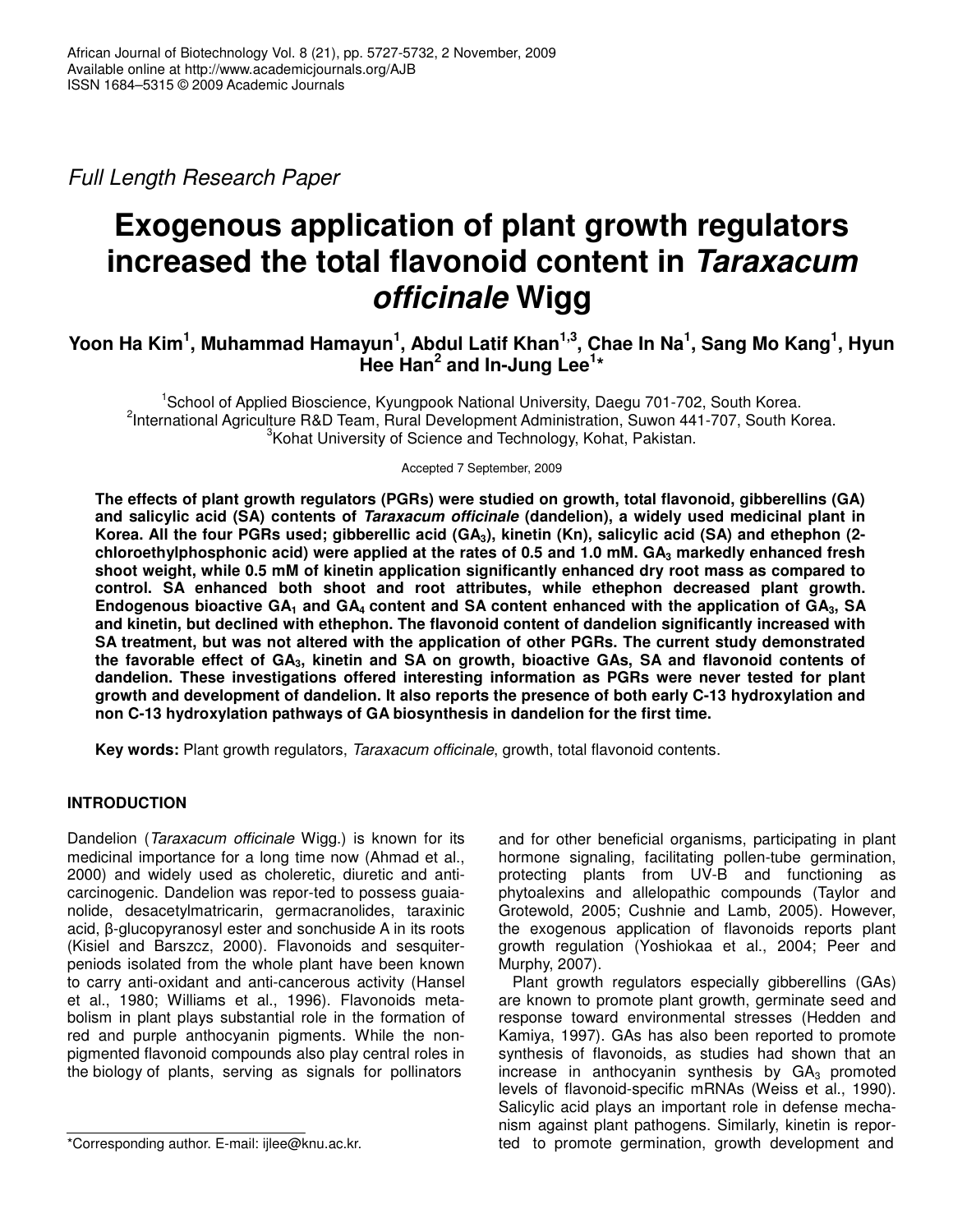*Full Length Research Paper*

# **Exogenous application of plant growth regulators increased the total flavonoid content in** *Taraxacum officinale* **Wigg**

# Yoon Ha Kim<sup>1</sup>, Muhammad Hamayun<sup>1</sup>, Abdul Latif Khan<sup>1,3</sup>, Chae In Na<sup>1</sup>, Sang Mo Kang<sup>1</sup>, Hyun **Hee Han 2 and In-Jung Lee 1 \***

<sup>1</sup>School of Applied Bioscience, Kyungpook National University, Daegu 701-702, South Korea. <sup>2</sup>International Agriculture R&D Team, Rural Development Administration, Suwon 441-707, South Korea.  $3$ Kohat University of Science and Technology, Kohat, Pakistan.

Accepted 7 September, 2009

**The effects of plant growth regulators (PGRs) were studied on growth, total flavonoid, gibberellins (GA) and salicylic acid (SA) contents of** *Taraxacum officinale* **(dandelion), a widely used medicinal plant in** Korea. All the four PGRs used; gibberellic acid (GA<sub>3</sub>), kinetin (Kn), salicylic acid (SA) and ethephon (2**chloroethylphosphonic acid) were applied at the rates of 0.5 and 1.0 mM. GA<sup>3</sup> markedly enhanced fresh shoot weight, while 0.5 mM of kinetin application significantly enhanced dry root mass as compared to control. SA enhanced both shoot and root attributes, while ethephon decreased plant growth.** Endogenous bioactive  $GA_1$  and  $GA_4$  content and SA content enhanced with the application of  $GA_3$ , SA **and kinetin, but declined with ethephon. The flavonoid content of dandelion significantly increased with SA treatment, but was not altered with the application of other PGRs. The current study demonstrated** the favorable effect of GA<sub>3</sub>, kinetin and SA on growth, bioactive GAs, SA and flavonoid contents of **dandelion. These investigations offered interesting information as PGRs were never tested for plant growth and development of dandelion. It also reports the presence of both early C-13 hydroxylation and non C-13 hydroxylation pathways of GA biosynthesis in dandelion for the first time.**

**Key words:** Plant growth regulators, *Taraxacum officinale*, growth, total flavonoid contents.

# **INTRODUCTION**

Dandelion (*Taraxacum officinale* Wigg.) is known for its medicinal importance for a long time now (Ahmad et al., 2000) and widely used as choleretic, diuretic and anticarcinogenic. Dandelion was repor-ted to possess guaianolide, desacetylmatricarin, germacranolides, taraxinic acid,  $\beta$ -glucopyranosyl ester and sonchuside A in its roots (Kisiel and Barszcz, 2000). Flavonoids and sesquiterpeniods isolated from the whole plant have been known to carry anti-oxidant and anti-cancerous activity (Hansel et al., 1980; Williams et al., 1996). Flavonoids metabolism in plant plays substantial role in the formation of red and purple anthocyanin pigments. While the nonpigmented flavonoid compounds also play central roles in the biology of plants, serving as signals for pollinators

and for other beneficial organisms, participating in plant hormone signaling, facilitating pollen-tube germination, protecting plants from UV-B and functioning as phytoalexins and allelopathic compounds (Taylor and Grotewold, 2005; Cushnie and Lamb, 2005). However, the exogenous application of flavonoids reports plant growth regulation (Yoshiokaa et al., 2004; Peer and Murphy, 2007).

Plant growth regulators especially gibberellins (GAs) are known to promote plant growth, germinate seed and response toward environmental stresses (Hedden and Kamiya, 1997). GAs has also been reported to promote synthesis of flavonoids, as studies had shown that an increase in anthocyanin synthesis by  $GA<sub>3</sub>$  promoted levels of flavonoid-specific mRNAs (Weiss et al., 1990). Salicylic acid plays an important role in defense mechanism against plant pathogens. Similarly, kinetin is reported to promote germination, growth development and

<sup>\*</sup>Corresponding author. E-mail: ijlee@knu.ac.kr.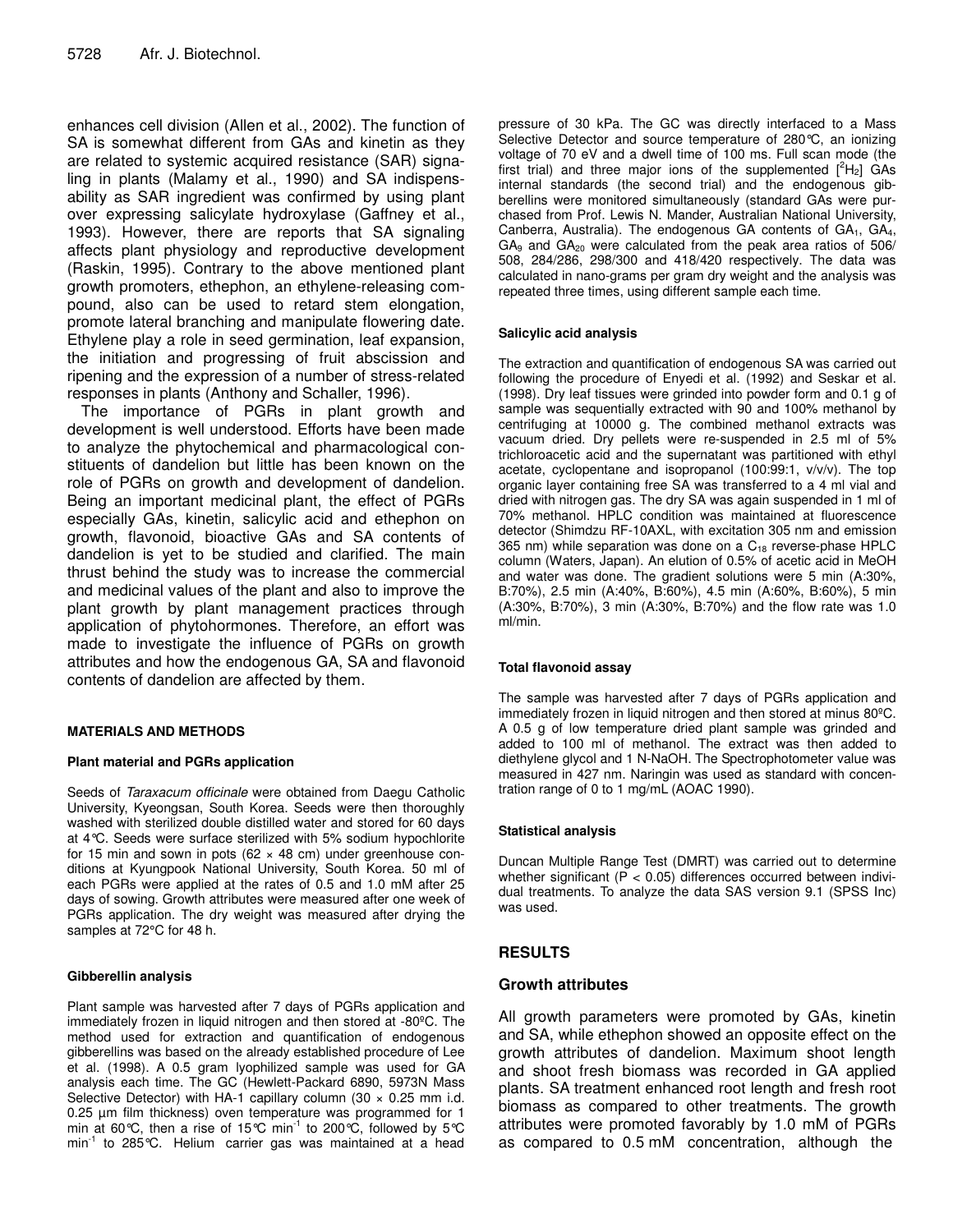enhances cell division (Allen et al., 2002). The function of SA is somewhat different from GAs and kinetin as they are related to systemic acquired resistance (SAR) signaling in plants (Malamy et al., 1990) and SA indispensability as SAR ingredient was confirmed by using plant over expressing salicylate hydroxylase (Gaffney et al., 1993). However, there are reports that SA signaling affects plant physiology and reproductive development (Raskin, 1995). Contrary to the above mentioned plant growth promoters, ethephon, an ethylene-releasing compound, also can be used to retard stem elongation, promote lateral branching and manipulate flowering date. Ethylene play a role in seed germination, leaf expansion, the initiation and progressing of fruit abscission and ripening and the expression of a number of stress-related responses in plants (Anthony and Schaller, 1996).

The importance of PGRs in plant growth and development is well understood. Efforts have been made to analyze the phytochemical and pharmacological constituents of dandelion but little has been known on the role of PGRs on growth and development of dandelion. Being an important medicinal plant, the effect of PGRs especially GAs, kinetin, salicylic acid and ethephon on growth, flavonoid, bioactive GAs and SA contents of dandelion is yet to be studied and clarified. The main thrust behind the study was to increase the commercial and medicinal values of the plant and also to improve the plant growth by plant management practices through application of phytohormones. Therefore, an effort was made to investigate the influence of PGRs on growth attributes and how the endogenous GA, SA and flavonoid contents of dandelion are affected by them.

#### **MATERIALS AND METHODS**

#### **Plant material and PGRs application**

Seeds of *Taraxacum officinale* were obtained from Daegu Catholic University, Kyeongsan, South Korea. Seeds were then thoroughly washed with sterilized double distilled water and stored for 60 days at 4°C. Seeds were surface sterilized with 5% sodium hypochlorite for 15 min and sown in pots (62  $\times$  48 cm) under greenhouse conditions at Kyungpook National University, South Korea. 50 ml of each PGRs were applied at the rates of 0.5 and 1.0 mM after 25 days of sowing. Growth attributes were measured after one week of PGRs application. The dry weight was measured after drying the samples at 72°C for 48 h.

#### **Gibberellin analysis**

Plant sample was harvested after 7 days of PGRs application and immediately frozen in liquid nitrogen and then stored at -80ºC. The method used for extraction and quantification of endogenous gibberellins was based on the already established procedure of Lee et al. (1998). A 0.5 gram lyophilized sample was used for GA analysis each time. The GC (Hewlett-Packard 6890, 5973N Mass Selective Detector) with HA-1 capillary column (30  $\times$  0.25 mm i.d. 0.25 µm film thickness) oven temperature was programmed for 1 min at 60°C, then a rise of 15°C min<sup>-1</sup> to 200°C, followed by 5°C min<sup>-1</sup> to 285°C. Helium carrier gas was maintained at a head

pressure of 30 kPa. The GC was directly interfaced to a Mass Selective Detector and source temperature of 280°C, an ionizing voltage of 70 eV and a dwell time of 100 ms. Full scan mode (the first trial) and three major ions of the supplemented  $[^{2}H_{2}]$  GAs internal standards (the second trial) and the endogenous gibberellins were monitored simultaneously (standard GAs were purchased from Prof. Lewis N. Mander, Australian National University, Canberra, Australia). The endogenous GA contents of GA<sub>1</sub>, GA<sub>4</sub>,  $GA<sub>9</sub>$  and  $GA<sub>20</sub>$  were calculated from the peak area ratios of 506/ 508, 284/286, 298/300 and 418/420 respectively. The data was calculated in nano-grams per gram dry weight and the analysis was repeated three times, using different sample each time.

#### **Salicylic acid analysis**

The extraction and quantification of endogenous SA was carried out following the procedure of Enyedi et al. (1992) and Seskar et al. (1998). Dry leaf tissues were grinded into powder form and 0.1 g of sample was sequentially extracted with 90 and 100% methanol by centrifuging at 10000 g. The combined methanol extracts was vacuum dried. Dry pellets were re-suspended in 2.5 ml of 5% trichloroacetic acid and the supernatant was partitioned with ethyl acetate, cyclopentane and isopropanol (100:99:1, v/v/v). The top organic layer containing free SA was transferred to a 4 ml vial and dried with nitrogen gas. The dry SA was again suspended in 1 ml of 70% methanol. HPLC condition was maintained at fluorescence detector (Shimdzu RF-10AXL, with excitation 305 nm and emission 365 nm) while separation was done on a  $C_{18}$  reverse-phase HPLC column (Waters, Japan). An elution of 0.5% of acetic acid in MeOH and water was done. The gradient solutions were 5 min (A:30%, B:70%), 2.5 min (A:40%, B:60%), 4.5 min (A:60%, B:60%), 5 min (A:30%, B:70%), 3 min (A:30%, B:70%) and the flow rate was 1.0 ml/min.

#### **Total flavonoid assay**

The sample was harvested after 7 days of PGRs application and immediately frozen in liquid nitrogen and then stored at minus 80ºC. A 0.5 g of low temperature dried plant sample was grinded and added to 100 ml of methanol. The extract was then added to diethylene glycol and 1 N-NaOH. The Spectrophotometer value was measured in 427 nm. Naringin was used as standard with concentration range of 0 to 1 mg/mL (AOAC 1990).

#### **Statistical analysis**

Duncan Multiple Range Test (DMRT) was carried out to determine whether significant (P < 0.05) differences occurred between individual treatments. To analyze the data SAS version 9.1 (SPSS Inc) was used.

#### **RESULTS**

#### **Growth attributes**

All growth parameters were promoted by GAs, kinetin and SA, while ethephon showed an opposite effect on the growth attributes of dandelion. Maximum shoot length and shoot fresh biomass was recorded in GA applied plants. SA treatment enhanced root length and fresh root biomass as compared to other treatments. The growth attributes were promoted favorably by 1.0 mM of PGRs as compared to 0.5 mM concentration, although the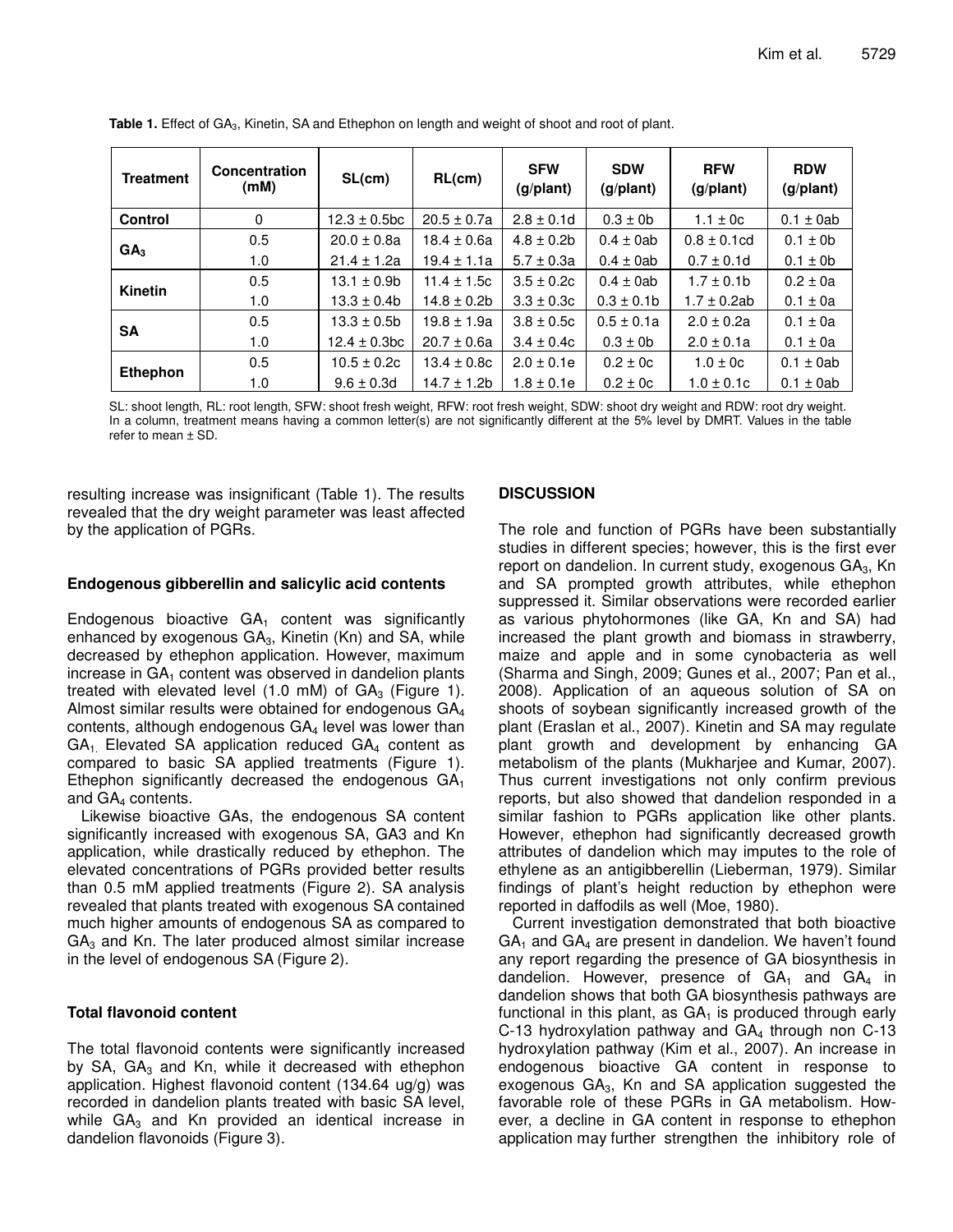| <b>Treatment</b> | Concentration<br>(mM) | SL(cm)            | RL(cm)           | <b>SFW</b><br>(g/plant) | <b>SDW</b><br>(g/plant) | <b>RFW</b><br>(g/plant) | <b>RDW</b><br>(g/plant) |
|------------------|-----------------------|-------------------|------------------|-------------------------|-------------------------|-------------------------|-------------------------|
| <b>Control</b>   | 0                     | $12.3 \pm 0.5$ bc | $20.5 \pm 0.7a$  | $2.8 \pm 0.1$ d         | $0.3 \pm 0$             | 1.1 $\pm$ 0c            | $0.1 \pm 0$ ab          |
| GA <sub>3</sub>  | 0.5                   | $20.0 \pm 0.8a$   | $18.4 \pm 0.6a$  | $4.8 \pm 0.2$ b         | $0.4 \pm 0$ ab          | $0.8 \pm 0.1$ cd        | $0.1 \pm 0$             |
|                  | 1.0                   | $21.4 \pm 1.2a$   | $19.4 \pm 1.1a$  | $5.7 \pm 0.3a$          | $0.4 \pm 0$ ab          | $0.7 \pm 0.1$ d         | $0.1 \pm 0$             |
| <b>Kinetin</b>   | 0.5                   | $13.1 \pm 0.9$ b  | $11.4 \pm 1.5c$  | $3.5 \pm 0.2c$          | $0.4 \pm 0$ ab          | $1.7 \pm 0.1$ b         | $0.2 \pm 0a$            |
|                  | 1.0                   | $13.3 \pm 0.4b$   | $14.8 \pm 0.2$ b | $3.3 \pm 0.3c$          | $0.3 \pm 0.1$ b         | $1.7 \pm 0.2$ ab        | $0.1 \pm 0a$            |
| SA               | 0.5                   | $13.3 \pm 0.5$ b  | $19.8 \pm 1.9a$  | $3.8 \pm 0.5c$          | $0.5 \pm 0.1a$          | $2.0 \pm 0.2a$          | $0.1 \pm 0a$            |
|                  | 1.0                   | $12.4 \pm 0.3$ bc | $20.7 \pm 0.6a$  | $3.4 \pm 0.4c$          | $0.3 \pm 0$             | $2.0 \pm 0.1a$          | $0.1 \pm 0a$            |
| <b>Ethephon</b>  | 0.5                   | $10.5 \pm 0.2c$   | $13.4 \pm 0.8c$  | $2.0 \pm 0.1e$          | $0.2 \pm 0c$            | $1.0 \pm 0c$            | $0.1 \pm 0$ ab          |
|                  | 1.0                   | $9.6 \pm 0.3$ d   | $14.7 \pm 1.2b$  | $1.8 \pm 0.1e$          | $0.2 \pm 0c$            | $1.0 \pm 0.1c$          | $0.1 \pm 0$ ab          |

**Table 1.** Effect of GA3, Kinetin, SA and Ethephon on length and weight of shoot and root of plant.

SL: shoot length, RL: root length, SFW: shoot fresh weight, RFW: root fresh weight, SDW: shoot dry weight and RDW: root dry weight. In a column, treatment means having a common letter(s) are not significantly different at the 5% level by DMRT. Values in the table refer to mean ± SD.

resulting increase was insignificant (Table 1). The results revealed that the dry weight parameter was least affected by the application of PGRs.

#### **Endogenous gibberellin and salicylic acid contents**

Endogenous bioactive  $GA_1$  content was significantly enhanced by exogenous  $GA<sub>3</sub>$ , Kinetin (Kn) and SA, while decreased by ethephon application. However, maximum increase in  $GA<sub>1</sub>$  content was observed in dandelion plants treated with elevated level  $(1.0 \text{ mM})$  of  $GA<sub>3</sub>$  (Figure 1). Almost similar results were obtained for endogenous GA<sup>4</sup> contents, although endogenous GA<sub>4</sub> level was lower than  $GA<sub>1</sub>$ . Elevated SA application reduced  $GA<sub>4</sub>$  content as compared to basic SA applied treatments (Figure 1). Ethephon significantly decreased the endogenous  $GA_1$ and GA<sub>4</sub> contents.

Likewise bioactive GAs, the endogenous SA content significantly increased with exogenous SA, GA3 and Kn application, while drastically reduced by ethephon. The elevated concentrations of PGRs provided better results than 0.5 mM applied treatments (Figure 2). SA analysis revealed that plants treated with exogenous SA contained much higher amounts of endogenous SA as compared to  $GA<sub>3</sub>$  and Kn. The later produced almost similar increase in the level of endogenous SA (Figure 2).

# **Total flavonoid content**

The total flavonoid contents were significantly increased by SA,  $GA_3$  and Kn, while it decreased with ethephon application. Highest flavonoid content (134.64 ug/g) was recorded in dandelion plants treated with basic SA level, while  $GA<sub>3</sub>$  and Kn provided an identical increase in dandelion flavonoids (Figure 3).

### **DISCUSSION**

The role and function of PGRs have been substantially studies in different species; however, this is the first ever report on dandelion. In current study, exogenous  $GA<sub>3</sub>$ , Kn and SA prompted growth attributes, while ethephon suppressed it. Similar observations were recorded earlier as various phytohormones (like GA, Kn and SA) had increased the plant growth and biomass in strawberry, maize and apple and in some cynobacteria as well (Sharma and Singh, 2009; Gunes et al., 2007; Pan et al., 2008). Application of an aqueous solution of SA on shoots of soybean significantly increased growth of the plant (Eraslan et al., 2007). Kinetin and SA may regulate plant growth and development by enhancing GA metabolism of the plants (Mukharjee and Kumar, 2007). Thus current investigations not only confirm previous reports, but also showed that dandelion responded in a similar fashion to PGRs application like other plants. However, ethephon had significantly decreased growth attributes of dandelion which may imputes to the role of ethylene as an antigibberellin (Lieberman, 1979). Similar findings of plant's height reduction by ethephon were reported in daffodils as well (Moe, 1980).

Current investigation demonstrated that both bioactive  $GA<sub>1</sub>$  and  $GA<sub>4</sub>$  are present in dandelion. We haven't found any report regarding the presence of GA biosynthesis in dandelion. However, presence of  $GA_1$  and  $GA_4$  in dandelion shows that both GA biosynthesis pathways are functional in this plant, as  $GA_1$  is produced through early C-13 hydroxylation pathway and  $GA_4$  through non C-13 hydroxylation pathway (Kim et al., 2007). An increase in endogenous bioactive GA content in response to exogenous  $GA<sub>3</sub>$ , Kn and SA application suggested the favorable role of these PGRs in GA metabolism. However, a decline in GA content in response to ethephon application may further strengthen the inhibitory role of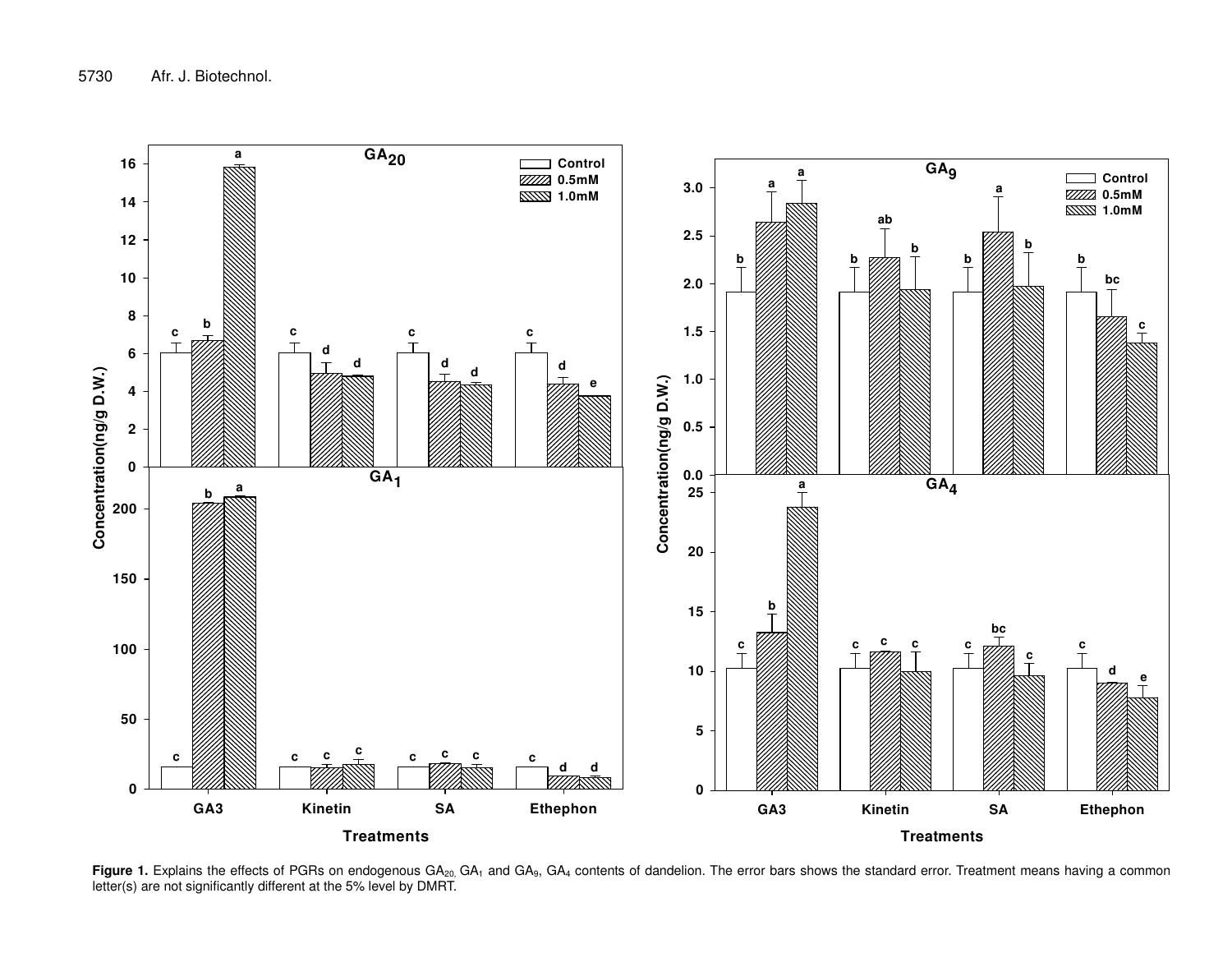

**Figure 1.** Explains the effects of PGRs on endogenous GA<sub>20,</sub> GA<sub>1</sub> and GA<sub>9</sub>, GA<sub>4</sub> contents of dandelion. The error bars shows the standard error. Treatment means having a common letter(s) are not significantly different at the 5% level by DMRT.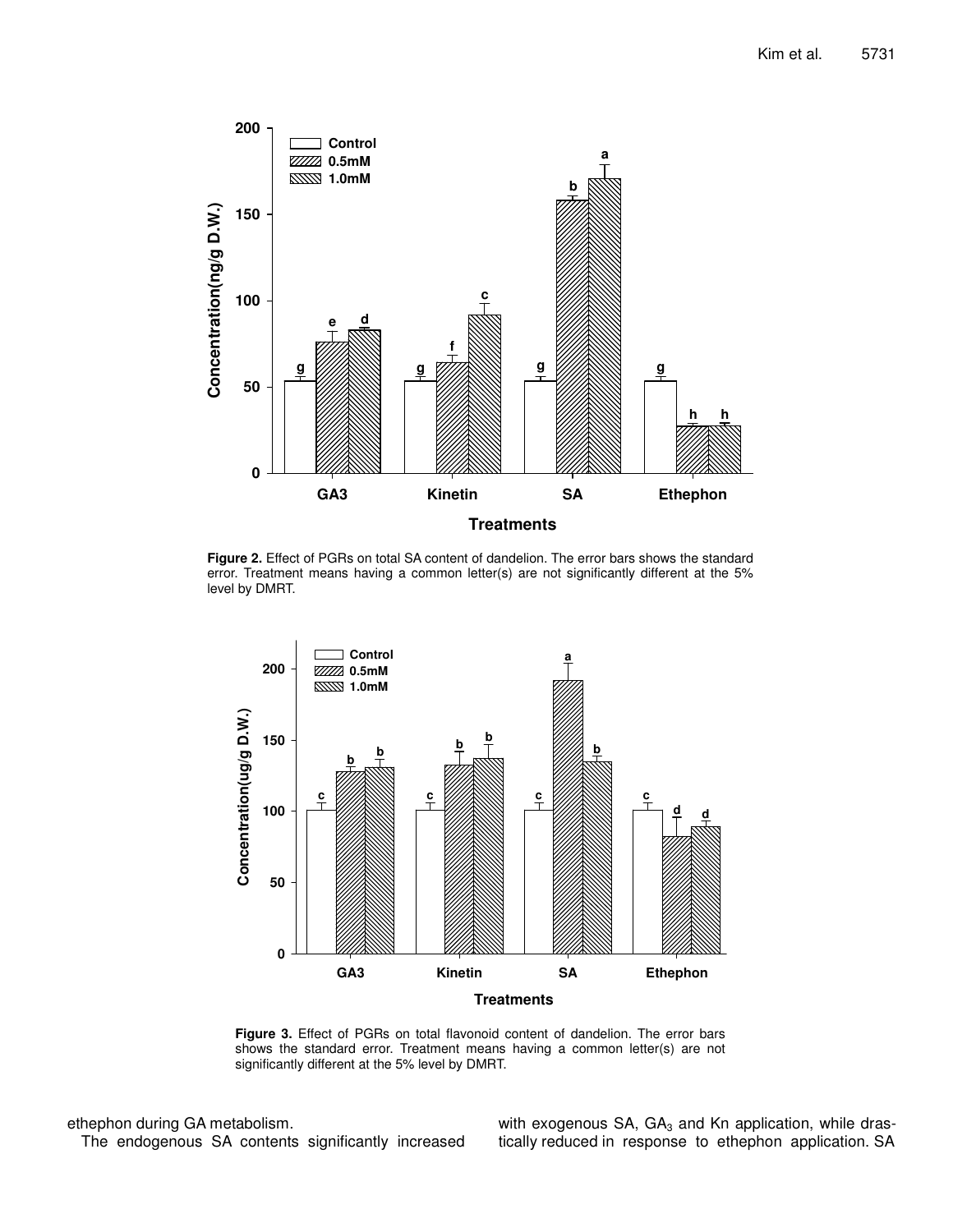

**Figure 2.** Effect of PGRs on total SA content of dandelion. The error bars shows the standard error. Treatment means having a common letter(s) are not significantly different at the 5% level by DMRT.



**Figure 3.** Effect of PGRs on total flavonoid content of dandelion. The error bars shows the standard error. Treatment means having a common letter(s) are not significantly different at the 5% level by DMRT.

ethephon during GA metabolism. The endogenous SA contents significantly increased with exogenous SA,  $GA_3$  and Kn application, while drastically reduced in response to ethephon application. SA